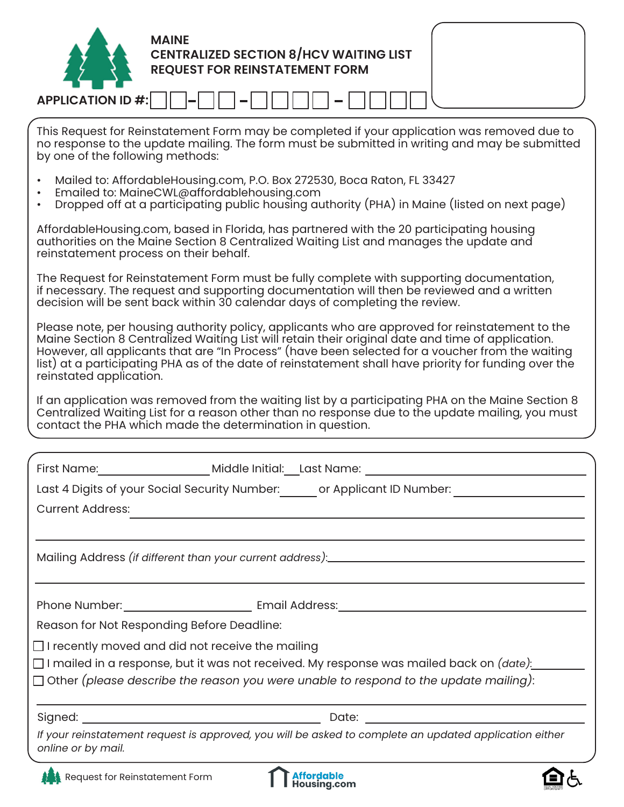| <b>MAINE</b><br><b>CENTRALIZED SECTION 8/HCV WAITING LIST<br/>REQUEST FOR REINSTATEMENT FORM</b><br><b>APPLICATION ID #:</b>                                                                                                                                                                                                                                                                                                                 |
|----------------------------------------------------------------------------------------------------------------------------------------------------------------------------------------------------------------------------------------------------------------------------------------------------------------------------------------------------------------------------------------------------------------------------------------------|
|                                                                                                                                                                                                                                                                                                                                                                                                                                              |
| This Request for Reinstatement Form may be completed if your application was removed due to<br>no response to the update mailing. The form must be submitted in writing and may be submitted<br>by one of the following methods:                                                                                                                                                                                                             |
| Mailed to: AffordableHousing.com, P.O. Box 272530, Boca Raton, FL 33427<br>Emailed to: MaineCWL@affordablehousing.com<br>Dropped off at a participating public housing authority (PHA) in Maine (listed on next page)                                                                                                                                                                                                                        |
| AffordableHousing.com, based in Florida, has partnered with the 20 participating housing<br>authorities on the Maine Section 8 Centralized Waiting List and manages the update and<br>reinstatement process on their behalf.                                                                                                                                                                                                                 |
| The Request for Reinstatement Form must be fully complete with supporting documentation,<br>if necessary. The request and supporting documentation will then be reviewed and a written<br>decision will be sent back within 30 calendar days of completing the review.                                                                                                                                                                       |
| Please note, per housing authority policy, applicants who are approved for reinstatement to the<br>Maine Section 8 Centralized Waiting List will retain their original date and time of application.<br>However, all applicants that are "In Process" (have been selected for a voucher from the waiting<br>list) at a participating PHA as of the date of reinstatement shall have priority for funding over the<br>reinstated application. |
| If an application was removed from the waiting list by a participating PHA on the Maine Section 8<br>Centralized Waiting List for a reason other than no response due to the update mailing, you must<br>contact the PHA which made the determination in question.                                                                                                                                                                           |
|                                                                                                                                                                                                                                                                                                                                                                                                                                              |
|                                                                                                                                                                                                                                                                                                                                                                                                                                              |
| Last 4 Digits of your Social Security Number:_______ or Applicant ID Number: _____________________                                                                                                                                                                                                                                                                                                                                           |
| <b>Current Address:</b><br><u> 1989 - Andrea Santa Alemania, amerikana amerikana amerikana amerikana amerikana amerikana amerikana amerikana</u>                                                                                                                                                                                                                                                                                             |
|                                                                                                                                                                                                                                                                                                                                                                                                                                              |
|                                                                                                                                                                                                                                                                                                                                                                                                                                              |
|                                                                                                                                                                                                                                                                                                                                                                                                                                              |
| Reason for Not Responding Before Deadline:                                                                                                                                                                                                                                                                                                                                                                                                   |
| $\Box$ I recently moved and did not receive the mailing                                                                                                                                                                                                                                                                                                                                                                                      |
|                                                                                                                                                                                                                                                                                                                                                                                                                                              |
| $\Box$ Other (please describe the reason you were unable to respond to the update mailing):                                                                                                                                                                                                                                                                                                                                                  |
|                                                                                                                                                                                                                                                                                                                                                                                                                                              |